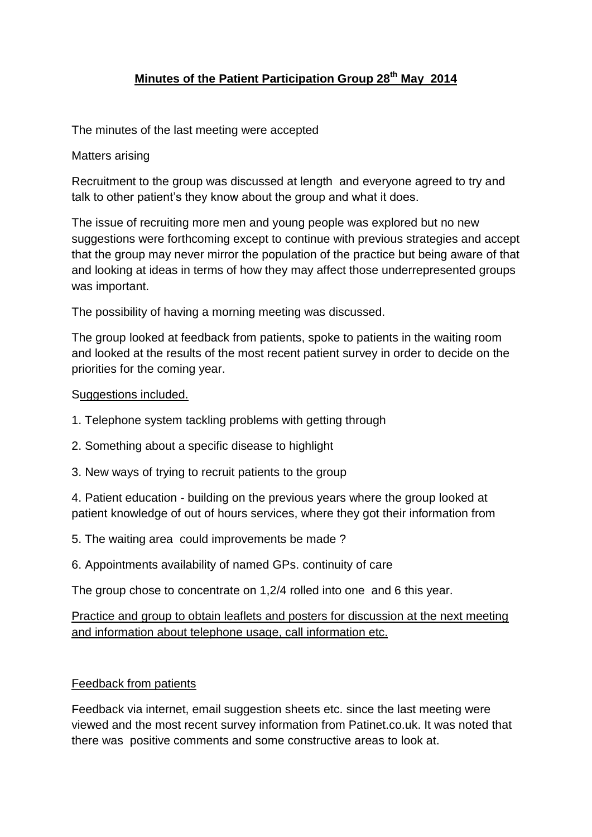# **Minutes of the Patient Participation Group 28th May 2014**

The minutes of the last meeting were accepted

## Matters arising

Recruitment to the group was discussed at length and everyone agreed to try and talk to other patient's they know about the group and what it does.

The issue of recruiting more men and young people was explored but no new suggestions were forthcoming except to continue with previous strategies and accept that the group may never mirror the population of the practice but being aware of that and looking at ideas in terms of how they may affect those underrepresented groups was important.

The possibility of having a morning meeting was discussed.

The group looked at feedback from patients, spoke to patients in the waiting room and looked at the results of the most recent patient survey in order to decide on the priorities for the coming year.

### Suggestions included.

- 1. Telephone system tackling problems with getting through
- 2. Something about a specific disease to highlight
- 3. New ways of trying to recruit patients to the group

4. Patient education - building on the previous years where the group looked at patient knowledge of out of hours services, where they got their information from

- 5. The waiting area could improvements be made ?
- 6. Appointments availability of named GPs. continuity of care

The group chose to concentrate on 1,2/4 rolled into one and 6 this year.

Practice and group to obtain leaflets and posters for discussion at the next meeting and information about telephone usage, call information etc.

### Feedback from patients

Feedback via internet, email suggestion sheets etc. since the last meeting were viewed and the most recent survey information from Patinet.co.uk. It was noted that there was positive comments and some constructive areas to look at.